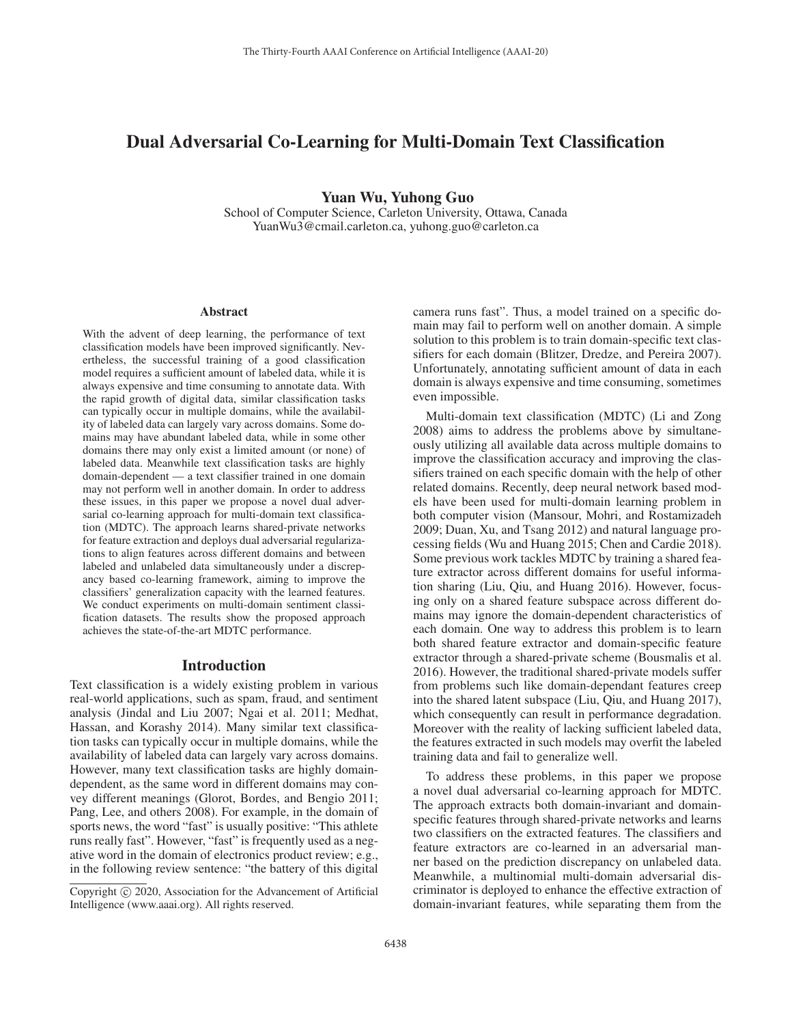# Dual Adversarial Co-Learning for Multi-Domain Text Classification

Yuan Wu, Yuhong Guo

School of Computer Science, Carleton University, Ottawa, Canada YuanWu3@cmail.carleton.ca, yuhong.guo@carleton.ca

#### Abstract

With the advent of deep learning, the performance of text classification models have been improved significantly. Nevertheless, the successful training of a good classification model requires a sufficient amount of labeled data, while it is always expensive and time consuming to annotate data. With the rapid growth of digital data, similar classification tasks can typically occur in multiple domains, while the availability of labeled data can largely vary across domains. Some domains may have abundant labeled data, while in some other domains there may only exist a limited amount (or none) of labeled data. Meanwhile text classification tasks are highly domain-dependent — a text classifier trained in one domain may not perform well in another domain. In order to address these issues, in this paper we propose a novel dual adversarial co-learning approach for multi-domain text classification (MDTC). The approach learns shared-private networks for feature extraction and deploys dual adversarial regularizations to align features across different domains and between labeled and unlabeled data simultaneously under a discrepancy based co-learning framework, aiming to improve the classifiers' generalization capacity with the learned features. We conduct experiments on multi-domain sentiment classification datasets. The results show the proposed approach achieves the state-of-the-art MDTC performance.

#### Introduction

Text classification is a widely existing problem in various real-world applications, such as spam, fraud, and sentiment analysis (Jindal and Liu 2007; Ngai et al. 2011; Medhat, Hassan, and Korashy 2014). Many similar text classification tasks can typically occur in multiple domains, while the availability of labeled data can largely vary across domains. However, many text classification tasks are highly domaindependent, as the same word in different domains may convey different meanings (Glorot, Bordes, and Bengio 2011; Pang, Lee, and others 2008). For example, in the domain of sports news, the word "fast" is usually positive: "This athlete runs really fast". However, "fast" is frequently used as a negative word in the domain of electronics product review; e.g., in the following review sentence: "the battery of this digital

camera runs fast". Thus, a model trained on a specific domain may fail to perform well on another domain. A simple solution to this problem is to train domain-specific text classifiers for each domain (Blitzer, Dredze, and Pereira 2007). Unfortunately, annotating sufficient amount of data in each domain is always expensive and time consuming, sometimes even impossible.

Multi-domain text classification (MDTC) (Li and Zong 2008) aims to address the problems above by simultaneously utilizing all available data across multiple domains to improve the classification accuracy and improving the classifiers trained on each specific domain with the help of other related domains. Recently, deep neural network based models have been used for multi-domain learning problem in both computer vision (Mansour, Mohri, and Rostamizadeh 2009; Duan, Xu, and Tsang 2012) and natural language processing fields (Wu and Huang 2015; Chen and Cardie 2018). Some previous work tackles MDTC by training a shared feature extractor across different domains for useful information sharing (Liu, Qiu, and Huang 2016). However, focusing only on a shared feature subspace across different domains may ignore the domain-dependent characteristics of each domain. One way to address this problem is to learn both shared feature extractor and domain-specific feature extractor through a shared-private scheme (Bousmalis et al. 2016). However, the traditional shared-private models suffer from problems such like domain-dependant features creep into the shared latent subspace (Liu, Qiu, and Huang 2017), which consequently can result in performance degradation. Moreover with the reality of lacking sufficient labeled data, the features extracted in such models may overfit the labeled training data and fail to generalize well.

To address these problems, in this paper we propose a novel dual adversarial co-learning approach for MDTC. The approach extracts both domain-invariant and domainspecific features through shared-private networks and learns two classifiers on the extracted features. The classifiers and feature extractors are co-learned in an adversarial manner based on the prediction discrepancy on unlabeled data. Meanwhile, a multinomial multi-domain adversarial discriminator is deployed to enhance the effective extraction of domain-invariant features, while separating them from the

Copyright  $\odot$  2020, Association for the Advancement of Artificial Intelligence (www.aaai.org). All rights reserved.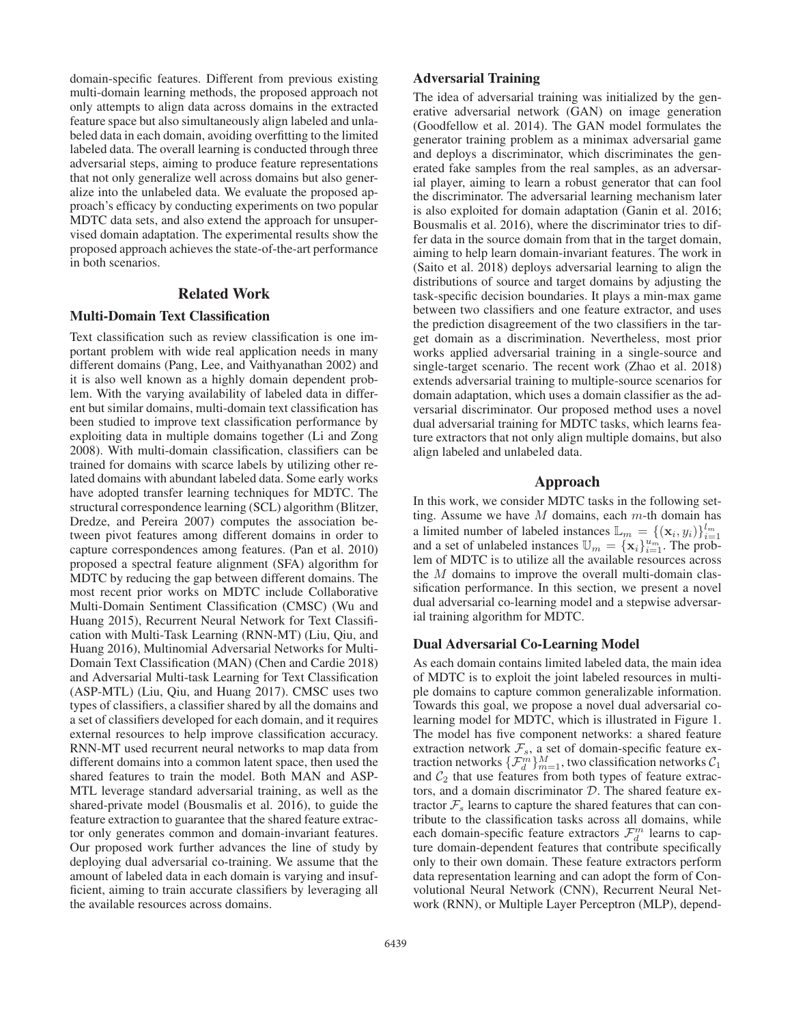domain-specific features. Different from previous existing multi-domain learning methods, the proposed approach not only attempts to align data across domains in the extracted feature space but also simultaneously align labeled and unlabeled data in each domain, avoiding overfitting to the limited labeled data. The overall learning is conducted through three adversarial steps, aiming to produce feature representations that not only generalize well across domains but also generalize into the unlabeled data. We evaluate the proposed approach's efficacy by conducting experiments on two popular MDTC data sets, and also extend the approach for unsupervised domain adaptation. The experimental results show the proposed approach achieves the state-of-the-art performance in both scenarios.

## Related Work

#### Multi-Domain Text Classification

Text classification such as review classification is one important problem with wide real application needs in many different domains (Pang, Lee, and Vaithyanathan 2002) and it is also well known as a highly domain dependent problem. With the varying availability of labeled data in different but similar domains, multi-domain text classification has been studied to improve text classification performance by exploiting data in multiple domains together (Li and Zong 2008). With multi-domain classification, classifiers can be trained for domains with scarce labels by utilizing other related domains with abundant labeled data. Some early works have adopted transfer learning techniques for MDTC. The structural correspondence learning (SCL) algorithm (Blitzer, Dredze, and Pereira 2007) computes the association between pivot features among different domains in order to capture correspondences among features. (Pan et al. 2010) proposed a spectral feature alignment (SFA) algorithm for MDTC by reducing the gap between different domains. The most recent prior works on MDTC include Collaborative Multi-Domain Sentiment Classification (CMSC) (Wu and Huang 2015), Recurrent Neural Network for Text Classification with Multi-Task Learning (RNN-MT) (Liu, Qiu, and Huang 2016), Multinomial Adversarial Networks for Multi-Domain Text Classification (MAN) (Chen and Cardie 2018) and Adversarial Multi-task Learning for Text Classification (ASP-MTL) (Liu, Qiu, and Huang 2017). CMSC uses two types of classifiers, a classifier shared by all the domains and a set of classifiers developed for each domain, and it requires external resources to help improve classification accuracy. RNN-MT used recurrent neural networks to map data from different domains into a common latent space, then used the shared features to train the model. Both MAN and ASP-MTL leverage standard adversarial training, as well as the shared-private model (Bousmalis et al. 2016), to guide the feature extraction to guarantee that the shared feature extractor only generates common and domain-invariant features. Our proposed work further advances the line of study by deploying dual adversarial co-training. We assume that the amount of labeled data in each domain is varying and insufficient, aiming to train accurate classifiers by leveraging all the available resources across domains.

## Adversarial Training

The idea of adversarial training was initialized by the generative adversarial network (GAN) on image generation (Goodfellow et al. 2014). The GAN model formulates the generator training problem as a minimax adversarial game and deploys a discriminator, which discriminates the generated fake samples from the real samples, as an adversarial player, aiming to learn a robust generator that can fool the discriminator. The adversarial learning mechanism later is also exploited for domain adaptation (Ganin et al. 2016; Bousmalis et al. 2016), where the discriminator tries to differ data in the source domain from that in the target domain, aiming to help learn domain-invariant features. The work in (Saito et al. 2018) deploys adversarial learning to align the distributions of source and target domains by adjusting the task-specific decision boundaries. It plays a min-max game between two classifiers and one feature extractor, and uses the prediction disagreement of the two classifiers in the target domain as a discrimination. Nevertheless, most prior works applied adversarial training in a single-source and single-target scenario. The recent work (Zhao et al. 2018) extends adversarial training to multiple-source scenarios for domain adaptation, which uses a domain classifier as the adversarial discriminator. Our proposed method uses a novel dual adversarial training for MDTC tasks, which learns feature extractors that not only align multiple domains, but also align labeled and unlabeled data.

## Approach

In this work, we consider MDTC tasks in the following setting. Assume we have M domains, each  $m$ -th domain has a limited number of labeled instances  $\mathbb{L}_m = \{(\mathbf{x}_i, y_i)\}_{i=1}^{l_m}$ <br>and a set of unlabeled instances  $\mathbb{U}_m = \{\mathbf{x}_i\}_{i=1}^{u_m}$ . The prob-<br>lem of MDTC is to utilize all the available resources across lem of MDTC is to utilize all the available resources across the M domains to improve the overall multi-domain classification performance. In this section, we present a novel dual adversarial co-learning model and a stepwise adversarial training algorithm for MDTC.

#### Dual Adversarial Co-Learning Model

As each domain contains limited labeled data, the main idea of MDTC is to exploit the joint labeled resources in multiple domains to capture common generalizable information. Towards this goal, we propose a novel dual adversarial colearning model for MDTC, which is illustrated in Figure 1. The model has five component networks: a shared feature extraction network  $\mathcal{F}_s$ , a set of domain-specific feature extraction networks  $\{\mathcal{F}_{d}^{m}\}_{m=1}^{M}$ , two classification networks  $\mathcal{C}_{1}$ and  $C_2$  that use features from both types of feature extractors, and a domain discriminator D. The shared feature extractor  $\mathcal{F}_s$  learns to capture the shared features that can contribute to the classification tasks across all domains, while each domain-specific feature extractors  $\mathcal{F}_d^m$  learns to capture domain-dependent features that contribute specifically only to their own domain. These feature extractors perform data representation learning and can adopt the form of Convolutional Neural Network (CNN), Recurrent Neural Network (RNN), or Multiple Layer Perceptron (MLP), depend-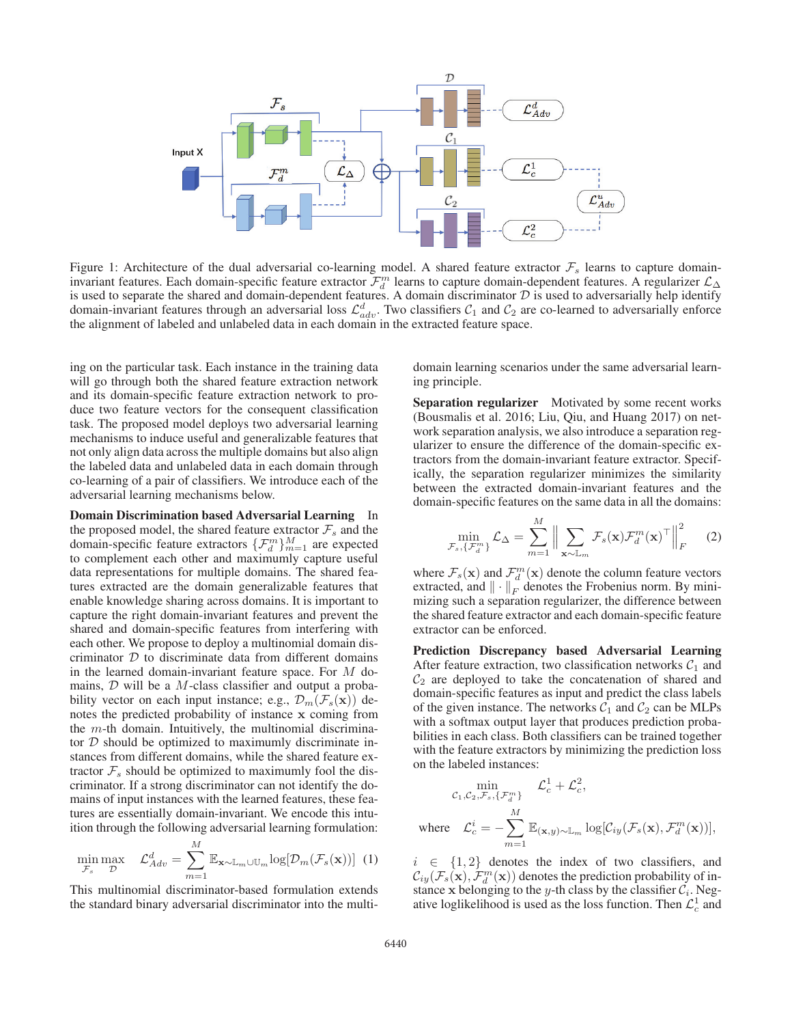

Figure 1: Architecture of the dual adversarial co-learning model. A shared feature extractor  $\mathcal{F}_s$  learns to capture domaininvariant features. Each domain-specific feature extractor  $\mathcal{F}_{d}^{m}$  learns to capture domain-dependent features. A regularizer  $\mathcal{L}_{\Delta}$ is used to separate the shared and domain-dependent features. A domain discriminator  $D$  is used to adversarially help identify domain-invariant features through an adversarial loss  $\mathcal{L}_{adv}^d$ . Two classifiers  $\mathcal{C}_1$  and  $\mathcal{C}_2$  are co-learned to adversarially enforce the alignment of labeled and unlabeled data in each domain in the extracted feature space.

ing on the particular task. Each instance in the training data will go through both the shared feature extraction network and its domain-specific feature extraction network to produce two feature vectors for the consequent classification task. The proposed model deploys two adversarial learning mechanisms to induce useful and generalizable features that not only align data across the multiple domains but also align the labeled data and unlabeled data in each domain through co-learning of a pair of classifiers. We introduce each of the adversarial learning mechanisms below.

Domain Discrimination based Adversarial Learning In the proposed model, the shared feature extractor  $\mathcal{F}_s$  and the domain-specific feature extractors  $\{\mathcal{F}_d^m\}_{m=1}^M$  are expected to complement each other and maximumly capture useful data representations for multiple domains. The shared features extracted are the domain generalizable features that enable knowledge sharing across domains. It is important to capture the right domain-invariant features and prevent the shared and domain-specific features from interfering with each other. We propose to deploy a multinomial domain discriminator  $D$  to discriminate data from different domains in the learned domain-invariant feature space. For M domains,  $D$  will be a M-class classifier and output a probability vector on each input instance; e.g.,  $\mathcal{D}_m(\mathcal{F}_s(\mathbf{x}))$  denotes the predicted probability of instance **x** coming from the  $m$ -th domain. Intuitively, the multinomial discriminator  $D$  should be optimized to maximumly discriminate instances from different domains, while the shared feature extractor  $\mathcal{F}_s$  should be optimized to maximumly fool the discriminator. If a strong discriminator can not identify the domains of input instances with the learned features, these features are essentially domain-invariant. We encode this intuition through the following adversarial learning formulation:

$$
\min_{\mathcal{F}_s} \max_{\mathcal{D}} \quad \mathcal{L}_{Adv}^d = \sum_{m=1}^M \mathbb{E}_{\mathbf{x} \sim \mathbb{L}_m \cup \mathbb{U}_m} \log[\mathcal{D}_m(\mathcal{F}_s(\mathbf{x}))]
$$
(1)

This multinomial discriminator-based formulation extends the standard binary adversarial discriminator into the multi-

domain learning scenarios under the same adversarial learning principle.

Separation regularizer Motivated by some recent works (Bousmalis et al. 2016; Liu, Qiu, and Huang 2017) on network separation analysis, we also introduce a separation regularizer to ensure the difference of the domain-specific extractors from the domain-invariant feature extractor. Specifically, the separation regularizer minimizes the similarity between the extracted domain-invariant features and the domain-specific features on the same data in all the domains:

$$
\min_{\mathcal{F}_s, \{\mathcal{F}_d^m\}} \mathcal{L}_{\Delta} = \sum_{m=1}^M \Big\| \sum_{\mathbf{x} \sim \mathbb{L}_m} \mathcal{F}_s(\mathbf{x}) \mathcal{F}_d^m(\mathbf{x})^\top \Big\|_F^2 \qquad (2)
$$

where  $\mathcal{F}_s(\mathbf{x})$  and  $\mathcal{F}_a^m(\mathbf{x})$  denote the column feature vectors extracted and  $\|\cdot\|_{\infty}$  denotes the Frobenius norm By miniextracted, and  $\|\cdot\|_F$  denotes the Frobenius norm. By minimizing such a separation regularizer, the difference between the shared feature extractor and each domain-specific feature extractor can be enforced.

Prediction Discrepancy based Adversarial Learning After feature extraction, two classification networks  $C_1$  and  $\mathcal{C}_2$  are deployed to take the concatenation of shared and domain-specific features as input and predict the class labels of the given instance. The networks  $C_1$  and  $C_2$  can be MLPs with a softmax output layer that produces prediction probabilities in each class. Both classifiers can be trained together with the feature extractors by minimizing the prediction loss on the labeled instances:

$$
\begin{aligned}\n&\min_{\mathcal{C}_1, \mathcal{C}_2, \mathcal{F}_s, \{\mathcal{F}_d^m\}} \quad \mathcal{L}_c^1 + \mathcal{L}_c^2, \\
&\text{where} \quad \mathcal{L}_c^i = -\sum_{m=1}^M \mathbb{E}_{(\mathbf{x}, y) \sim \mathbb{L}_m} \log[\mathcal{C}_{iy}(\mathcal{F}_s(\mathbf{x}), \mathcal{F}_d^m(\mathbf{x}))],\n\end{aligned}
$$

 $i \in \{1,2\}$  denotes the index of two classifiers, and  $\mathcal{C}_{iy}(\mathcal{F}_s(\mathbf{x}), \mathcal{F}_d^m(\mathbf{x}))$  denotes the prediction probability of in-<br>stance x belonging to the *u*-th class by the classifier  $\mathcal{C}_t$ . Negstance **x** belonging to the y-th class by the classifier  $C_i$ . Negative loglikelihood is used as the loss function. Then  $\mathcal{L}_c^1$  and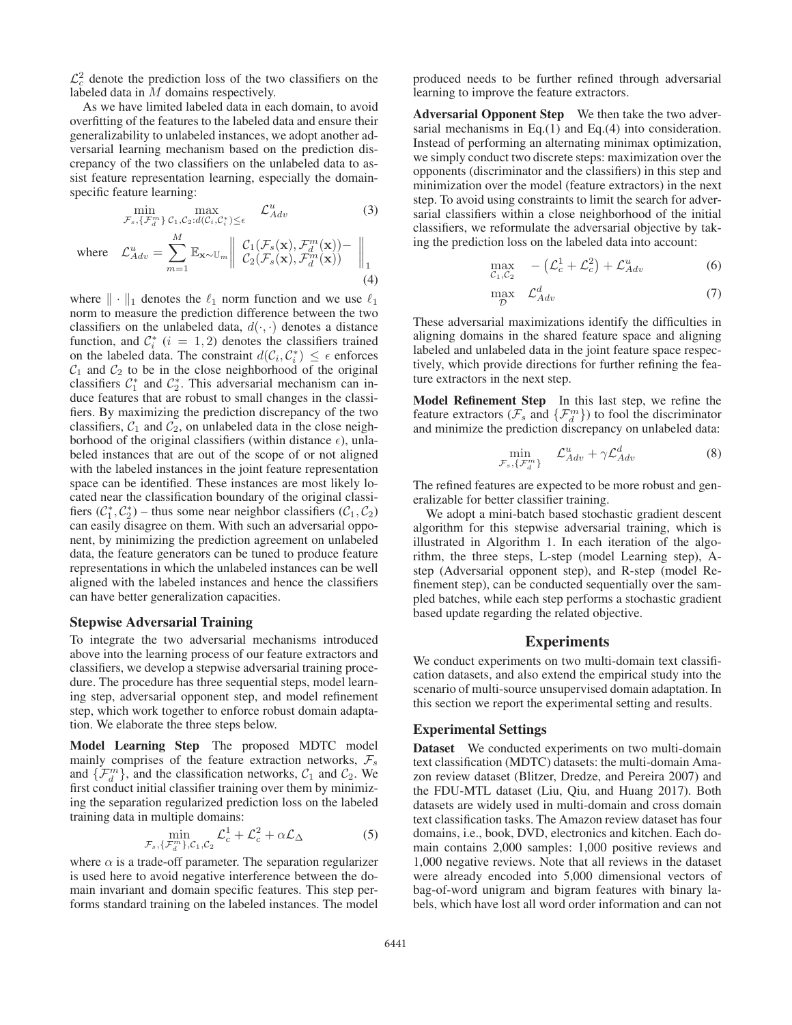$\mathcal{L}_c^2$  denote the prediction loss of the two classifiers on the labeled data in  $M$  domains respectively.

As we have limited labeled data in each domain, to avoid overfitting of the features to the labeled data and ensure their generalizability to unlabeled instances, we adopt another adversarial learning mechanism based on the prediction discrepancy of the two classifiers on the unlabeled data to assist feature representation learning, especially the domainspecific feature learning:

 $m=1$ 

$$
\min_{\mathcal{F}_s, \{\mathcal{F}_d^m\}} c_{1,\mathcal{C}_2:d(\mathcal{C}_i,\mathcal{C}_i^*) \le \epsilon} \mathcal{L}_{Adv}^u \tag{3}
$$
\n
$$
\mathcal{L}_{Adv}^u = \sum_{m=1}^M \mathbb{E}_{\mathbf{x} \sim \mathbb{U}_m} \left\| \begin{array}{l} \mathcal{C}_1(\mathcal{F}_s(\mathbf{x}), \mathcal{F}_d^m(\mathbf{x})) - \\ \mathcal{C}_2(\mathcal{F}_s(\mathbf{x}), \mathcal{F}_d^m(\mathbf{x})) \end{array} \right\|_1
$$

(4)

where  $\mathcal{L}_{Adv}^u = \sum_{m=1}^{\infty}$ 

where  $\|\cdot\|_1$  denotes the  $\ell_1$  norm function and we use  $\ell_1$ norm to measure the prediction difference between the two classifiers on the unlabeled data,  $d(\cdot, \cdot)$  denotes a distance function, and  $C_i^*$   $(i = 1, 2)$  denotes the classifiers trained<br>on the labeled data. The constraint  $d(C_i, C_i^*) \leq \epsilon$  enforces on the labeled data. The constraint  $d(C_i, C_i^*) \leq \epsilon$  enforces  $C_i$  and  $C_2$  to be in the close neighborhood of the original  $C_1$  and  $C_2$  to be in the close neighborhood of the original classifiers  $C_1^*$  and  $C_2^*$ . This adversarial mechanism can induce features that are robust to small changes in the classifiers. By maximizing the prediction discrepancy of the two classifiers,  $C_1$  and  $C_2$ , on unlabeled data in the close neighborhood of the original classifiers (within distance  $\epsilon$ ), unlabeled instances that are out of the scope of or not aligned with the labeled instances in the joint feature representation space can be identified. These instances are most likely located near the classification boundary of the original classifiers  $(\mathcal{C}_1^*, \mathcal{C}_2^*)$  – thus some near neighbor classifiers  $(\mathcal{C}_1, \mathcal{C}_2)$ can easily disagree on them. With such an adversarial opponent, by minimizing the prediction agreement on unlabeled data, the feature generators can be tuned to produce feature representations in which the unlabeled instances can be well aligned with the labeled instances and hence the classifiers can have better generalization capacities.

#### Stepwise Adversarial Training

To integrate the two adversarial mechanisms introduced above into the learning process of our feature extractors and classifiers, we develop a stepwise adversarial training procedure. The procedure has three sequential steps, model learning step, adversarial opponent step, and model refinement step, which work together to enforce robust domain adaptation. We elaborate the three steps below.

Model Learning Step The proposed MDTC model mainly comprises of the feature extraction networks,  $\mathcal{F}_s$ and  $\{\mathcal{F}_d^m\}$ , and the classification networks,  $\mathcal{C}_1$  and  $\mathcal{C}_2$ . We first conduct initial classifier training over them by minimizing the separation regularized prediction loss on the labeled training data in multiple domains:

$$
\min_{\mathcal{F}_s, \{\mathcal{F}_d^m\}, \mathcal{C}_1, \mathcal{C}_2} \mathcal{L}_c^1 + \mathcal{L}_c^2 + \alpha \mathcal{L}_{\Delta} \tag{5}
$$

where  $\alpha$  is a trade-off parameter. The separation regularizer is used here to avoid negative interference between the domain invariant and domain specific features. This step performs standard training on the labeled instances. The model produced needs to be further refined through adversarial learning to improve the feature extractors.

Adversarial Opponent Step We then take the two adversarial mechanisms in Eq.(1) and Eq.(4) into consideration. Instead of performing an alternating minimax optimization, we simply conduct two discrete steps: maximization over the opponents (discriminator and the classifiers) in this step and minimization over the model (feature extractors) in the next step. To avoid using constraints to limit the search for adversarial classifiers within a close neighborhood of the initial classifiers, we reformulate the adversarial objective by taking the prediction loss on the labeled data into account:

$$
\max_{\mathcal{C}_1,\mathcal{C}_2} \quad -\left(\mathcal{L}_c^1 + \mathcal{L}_c^2\right) + \mathcal{L}_{Adv}^u \tag{6}
$$

$$
\max_{\mathcal{D}} \quad \mathcal{L}_{Adv}^{d} \tag{7}
$$

These adversarial maximizations identify the difficulties in aligning domains in the shared feature space and aligning labeled and unlabeled data in the joint feature space respectively, which provide directions for further refining the feature extractors in the next step.

Model Refinement Step In this last step, we refine the feature extractors ( $\mathcal{F}_s$  and  $\{\mathcal{F}_d^m\}$ ) to fool the discriminator and minimize the prediction discrepancy on unlabeled data:

$$
\min_{\mathcal{F}_s, \{\mathcal{F}_d^m\}} \quad \mathcal{L}_{Adv}^u + \gamma \mathcal{L}_{Adv}^d \tag{8}
$$

The refined features are expected to be more robust and generalizable for better classifier training.

We adopt a mini-batch based stochastic gradient descent algorithm for this stepwise adversarial training, which is illustrated in Algorithm 1. In each iteration of the algorithm, the three steps, L-step (model Learning step), Astep (Adversarial opponent step), and R-step (model Refinement step), can be conducted sequentially over the sampled batches, while each step performs a stochastic gradient based update regarding the related objective.

# Experiments

We conduct experiments on two multi-domain text classification datasets, and also extend the empirical study into the scenario of multi-source unsupervised domain adaptation. In this section we report the experimental setting and results.

#### Experimental Settings

Dataset We conducted experiments on two multi-domain text classification (MDTC) datasets: the multi-domain Amazon review dataset (Blitzer, Dredze, and Pereira 2007) and the FDU-MTL dataset (Liu, Qiu, and Huang 2017). Both datasets are widely used in multi-domain and cross domain text classification tasks. The Amazon review dataset has four domains, i.e., book, DVD, electronics and kitchen. Each domain contains 2,000 samples: 1,000 positive reviews and 1,000 negative reviews. Note that all reviews in the dataset were already encoded into 5,000 dimensional vectors of bag-of-word unigram and bigram features with binary labels, which have lost all word order information and can not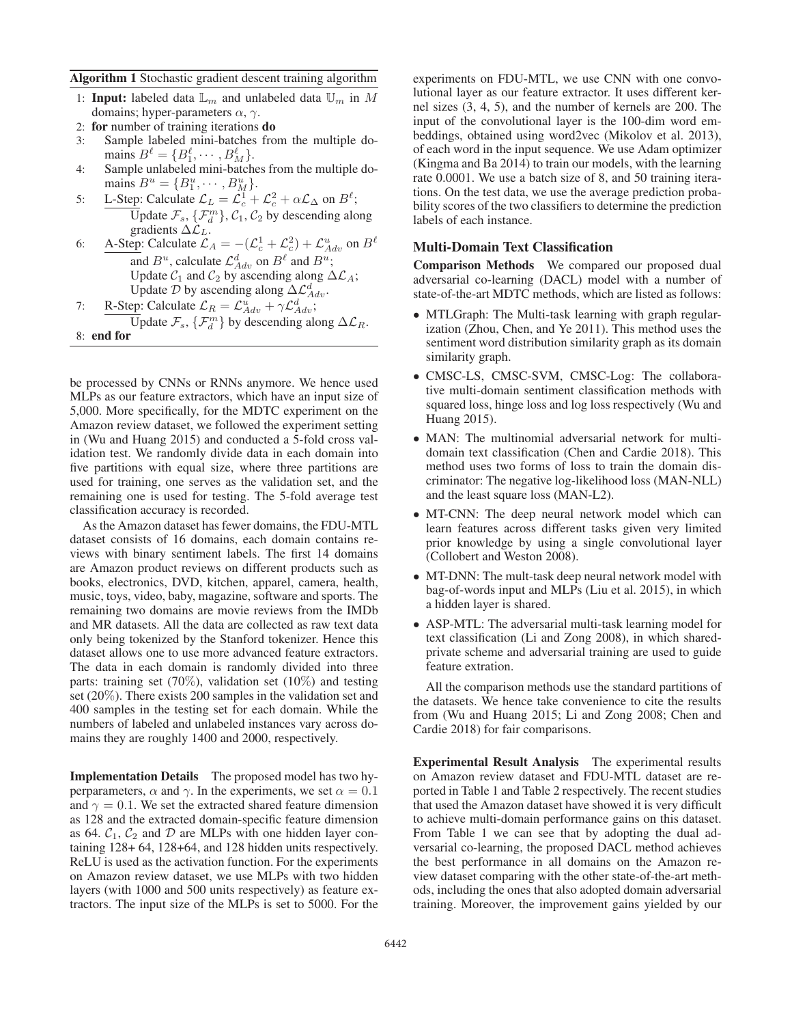### Algorithm 1 Stochastic gradient descent training algorithm

- 1: Input: labeled data  $\mathbb{L}_m$  and unlabeled data  $\mathbb{U}_m$  in M domains; hyper-parameters  $\alpha$ ,  $\gamma$ .
- 2: for number of training iterations do
- 3: Sample labeled mini-batches from the multiple domains  $B^{\ell} = \{B_1^{\ell}, \cdots, B_M^{\ell}\}.$ <br>Sample unlabeled mini-batch
- 4: Sample unlabeled mini-batches from the multiple domains  $B^u = \{B_1^u, \cdots, B_M^u\}.$ <br>
I Step: Calculate  $C = C^1 +$
- 5: L-Step: Calculate  $\mathcal{L}_L = \mathcal{L}_c^1 + \mathcal{L}_c^2 + \alpha \mathcal{L}_\Delta$  on  $B^{\ell}$ ;<br>Lindate  $\mathcal{L}_c$ ,  $\mathcal{L}_m$  and  $\mathcal{L}_c$ ,  $\mathcal{L}_c$  by descending algorithm  $\overline{\overline{U}}$ pdate  $\mathcal{F}_s$ ,  $\{\mathcal{F}_d^m\}$ ,  $\mathcal{C}_1$ ,  $\mathcal{C}_2$  by descending along gradients  $\Delta \mathcal{L}_L$ .
- 6: A-Step: Calculate  $\mathcal{L}_A = -(\mathcal{L}_c^1 + \mathcal{L}_c^2) + \mathcal{L}_{Adv}^u$  on  $B^{\ell}$ and  $B^u$ , calculate  $\mathcal{L}_{Adv}^d$  on  $B^{\ell}$  and  $B^u$ ; Update  $C_1$  and  $C_2$  by ascending along  $\Delta \mathcal{L}_A$ ; Update  $\overline{\mathcal{D}}$  by ascending along  $\Delta \mathcal{L}_{Adv}^{d}$ .
- 7: R-Step: Calculate  $\mathcal{L}_R = \mathcal{L}_{Adv}^u + \gamma \mathcal{L}_{Adv}^d$ Update  $\mathcal{F}_s$ ,  $\{\mathcal{F}_d^m\}$  by descending along  $\Delta \mathcal{L}_R$ . 8: end for

be processed by CNNs or RNNs anymore. We hence used MLPs as our feature extractors, which have an input size of 5,000. More specifically, for the MDTC experiment on the Amazon review dataset, we followed the experiment setting in (Wu and Huang 2015) and conducted a 5-fold cross validation test. We randomly divide data in each domain into five partitions with equal size, where three partitions are used for training, one serves as the validation set, and the remaining one is used for testing. The 5-fold average test classification accuracy is recorded.

As the Amazon dataset has fewer domains, the FDU-MTL dataset consists of 16 domains, each domain contains reviews with binary sentiment labels. The first 14 domains are Amazon product reviews on different products such as books, electronics, DVD, kitchen, apparel, camera, health, music, toys, video, baby, magazine, software and sports. The remaining two domains are movie reviews from the IMDb and MR datasets. All the data are collected as raw text data only being tokenized by the Stanford tokenizer. Hence this dataset allows one to use more advanced feature extractors. The data in each domain is randomly divided into three parts: training set (70%), validation set (10%) and testing set (20%). There exists 200 samples in the validation set and 400 samples in the testing set for each domain. While the numbers of labeled and unlabeled instances vary across domains they are roughly 1400 and 2000, respectively.

Implementation Details The proposed model has two hyperparameters,  $\alpha$  and  $\gamma$ . In the experiments, we set  $\alpha = 0.1$ and  $\gamma = 0.1$ . We set the extracted shared feature dimension as 128 and the extracted domain-specific feature dimension as 64.  $C_1$ ,  $C_2$  and  $D$  are MLPs with one hidden layer containing 128+ 64, 128+64, and 128 hidden units respectively. ReLU is used as the activation function. For the experiments on Amazon review dataset, we use MLPs with two hidden layers (with 1000 and 500 units respectively) as feature extractors. The input size of the MLPs is set to 5000. For the

experiments on FDU-MTL, we use CNN with one convolutional layer as our feature extractor. It uses different kernel sizes (3, 4, 5), and the number of kernels are 200. The input of the convolutional layer is the 100-dim word embeddings, obtained using word2vec (Mikolov et al. 2013), of each word in the input sequence. We use Adam optimizer (Kingma and Ba 2014) to train our models, with the learning rate 0.0001. We use a batch size of 8, and 50 training iterations. On the test data, we use the average prediction probability scores of the two classifiers to determine the prediction labels of each instance.

## Multi-Domain Text Classification

Comparison Methods We compared our proposed dual adversarial co-learning (DACL) model with a number of state-of-the-art MDTC methods, which are listed as follows:

- MTLGraph: The Multi-task learning with graph regularization (Zhou, Chen, and Ye 2011). This method uses the sentiment word distribution similarity graph as its domain similarity graph.
- CMSC-LS, CMSC-SVM, CMSC-Log: The collaborative multi-domain sentiment classification methods with squared loss, hinge loss and log loss respectively (Wu and Huang 2015).
- MAN: The multinomial adversarial network for multidomain text classification (Chen and Cardie 2018). This method uses two forms of loss to train the domain discriminator: The negative log-likelihood loss (MAN-NLL) and the least square loss (MAN-L2).
- MT-CNN: The deep neural network model which can learn features across different tasks given very limited prior knowledge by using a single convolutional layer (Collobert and Weston 2008).
- MT-DNN: The mult-task deep neural network model with bag-of-words input and MLPs (Liu et al. 2015), in which a hidden layer is shared.
- ASP-MTL: The adversarial multi-task learning model for text classification (Li and Zong 2008), in which sharedprivate scheme and adversarial training are used to guide feature extration.

All the comparison methods use the standard partitions of the datasets. We hence take convenience to cite the results from (Wu and Huang 2015; Li and Zong 2008; Chen and Cardie 2018) for fair comparisons.

Experimental Result Analysis The experimental results on Amazon review dataset and FDU-MTL dataset are reported in Table 1 and Table 2 respectively. The recent studies that used the Amazon dataset have showed it is very difficult to achieve multi-domain performance gains on this dataset. From Table 1 we can see that by adopting the dual adversarial co-learning, the proposed DACL method achieves the best performance in all domains on the Amazon review dataset comparing with the other state-of-the-art methods, including the ones that also adopted domain adversarial training. Moreover, the improvement gains yielded by our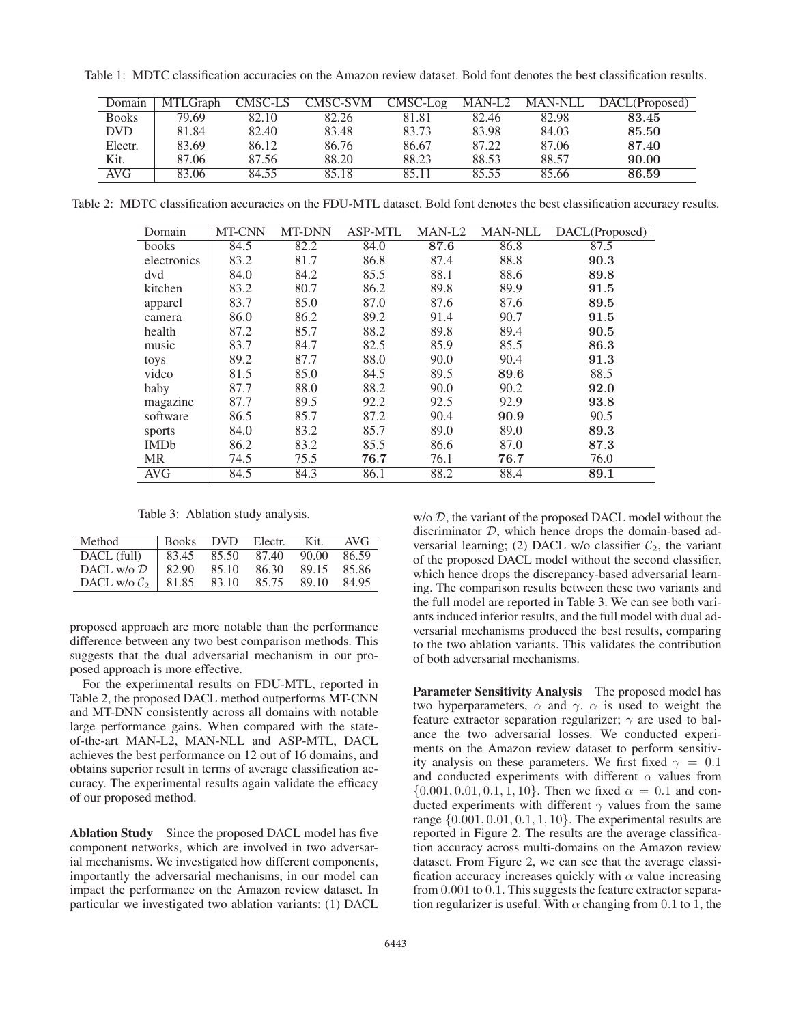Table 1: MDTC classification accuracies on the Amazon review dataset. Bold font denotes the best classification results.

| Domain       | MTLGraph | CMSC-LS | CMSC-SVM | $CMSC-Log$ | MAN-L2 |       | MAN-NLL DACL(Proposed) |
|--------------|----------|---------|----------|------------|--------|-------|------------------------|
| <b>Books</b> | 79.69    | 82.10   | 82.26    | 81.81      | 82.46  | 82.98 | 83.45                  |
| DVD.         | 81.84    | 82.40   | 83.48    | 83.73      | 83.98  | 84.03 | 85.50                  |
| Electr.      | 83.69    | 86.12   | 86.76    | 86.67      | 87.22  | 87.06 | 87.40                  |
| Kit.         | 87.06    | 87.56   | 88.20    | 88.23      | 88.53  | 88.57 | 90.00                  |
| AVG.         | 83.06    | 84.55   | 85.18    | 85.11      | 85.55  | 85.66 | 86.59                  |

Table 2: MDTC classification accuracies on the FDU-MTL dataset. Bold font denotes the best classification accuracy results.

| Domain      | MT-CNN | MT-DNN | <b>ASP-MTL</b> | MAN-L2 | MAN-NLL | DACL(Proposed) |
|-------------|--------|--------|----------------|--------|---------|----------------|
| books       | 84.5   | 82.2   | 84.0           | 87.6   | 86.8    | 87.5           |
| electronics | 83.2   | 81.7   | 86.8           | 87.4   | 88.8    | 90.3           |
| dvd         | 84.0   | 84.2   | 85.5           | 88.1   | 88.6    | 89.8           |
| kitchen     | 83.2   | 80.7   | 86.2           | 89.8   | 89.9    | 91.5           |
| apparel     | 83.7   | 85.0   | 87.0           | 87.6   | 87.6    | 89.5           |
| camera      | 86.0   | 86.2   | 89.2           | 91.4   | 90.7    | 91.5           |
| health      | 87.2   | 85.7   | 88.2           | 89.8   | 89.4    | 90.5           |
| music       | 83.7   | 84.7   | 82.5           | 85.9   | 85.5    | 86.3           |
| toys        | 89.2   | 87.7   | 88.0           | 90.0   | 90.4    | 91.3           |
| video       | 81.5   | 85.0   | 84.5           | 89.5   | 89.6    | 88.5           |
| baby        | 87.7   | 88.0   | 88.2           | 90.0   | 90.2    | 92.0           |
| magazine    | 87.7   | 89.5   | 92.2           | 92.5   | 92.9    | 93.8           |
| software    | 86.5   | 85.7   | 87.2           | 90.4   | 90.9    | 90.5           |
| sports      | 84.0   | 83.2   | 85.7           | 89.0   | 89.0    | 89.3           |
| <b>IMDb</b> | 86.2   | 83.2   | 85.5           | 86.6   | 87.0    | 87.3           |
| <b>MR</b>   | 74.5   | 75.5   | 76.7           | 76.1   | 76.7    | 76.0           |
| <b>AVG</b>  | 84.5   | 84.3   | 86.1           | 88.2   | 88.4    | 89.1           |

Table 3: Ablation study analysis.

| Method                | <b>Books</b> | <b>DVD</b> | Electr. | Kit.  | AVG   |
|-----------------------|--------------|------------|---------|-------|-------|
| DACL (full)           | 83.45        | 85.50      | 87.40   | 90.00 | 86.59 |
| DACL w/o $\mathcal D$ | 82.90        | 85.10      | 86.30   | 89.15 | 85.86 |
| DACL w/o $C_2$        | 81.85        | 83.10      | 85.75   | 89.10 | 84.95 |

proposed approach are more notable than the performance difference between any two best comparison methods. This suggests that the dual adversarial mechanism in our proposed approach is more effective.

For the experimental results on FDU-MTL, reported in Table 2, the proposed DACL method outperforms MT-CNN and MT-DNN consistently across all domains with notable large performance gains. When compared with the stateof-the-art MAN-L2, MAN-NLL and ASP-MTL, DACL achieves the best performance on 12 out of 16 domains, and obtains superior result in terms of average classification accuracy. The experimental results again validate the efficacy of our proposed method.

Ablation Study Since the proposed DACL model has five component networks, which are involved in two adversarial mechanisms. We investigated how different components, importantly the adversarial mechanisms, in our model can impact the performance on the Amazon review dataset. In particular we investigated two ablation variants: (1) DACL

w/o  $D$ , the variant of the proposed DACL model without the discriminator D, which hence drops the domain-based adversarial learning; (2) DACL w/o classifier  $C_2$ , the variant of the proposed DACL model without the second classifier, which hence drops the discrepancy-based adversarial learning. The comparison results between these two variants and the full model are reported in Table 3. We can see both variants induced inferior results, and the full model with dual adversarial mechanisms produced the best results, comparing to the two ablation variants. This validates the contribution of both adversarial mechanisms.

Parameter Sensitivity Analysis The proposed model has two hyperparameters,  $\alpha$  and  $\gamma$ .  $\alpha$  is used to weight the feature extractor separation regularizer;  $\gamma$  are used to balance the two adversarial losses. We conducted experiments on the Amazon review dataset to perform sensitivity analysis on these parameters. We first fixed  $\gamma = 0.1$ and conducted experiments with different  $\alpha$  values from  $\{0.001, 0.01, 0.1, 1, 10\}$ . Then we fixed  $\alpha = 0.1$  and conducted experiments with different  $\gamma$  values from the same range  $\{0.001, 0.01, 0.1, 1, 10\}$ . The experimental results are reported in Figure 2. The results are the average classification accuracy across multi-domains on the Amazon review dataset. From Figure 2, we can see that the average classification accuracy increases quickly with  $\alpha$  value increasing from 0.001 to 0.1. This suggests the feature extractor separation regularizer is useful. With  $\alpha$  changing from 0.1 to 1, the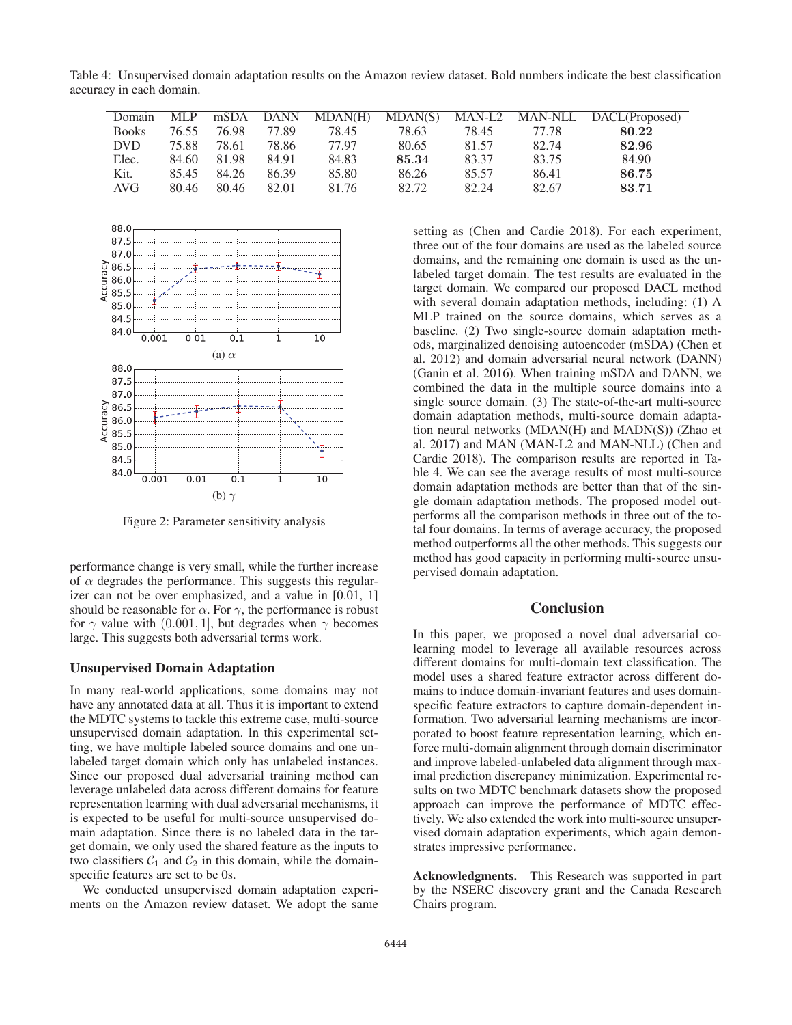Table 4: Unsupervised domain adaptation results on the Amazon review dataset. Bold numbers indicate the best classification accuracy in each domain.

| Domain       | <b>MLP</b> | mSDA  | DANN  | MDAN(H) | MDAN(S) |       |       | MAN-L2 MAN-NLL DACL(Proposed) |
|--------------|------------|-------|-------|---------|---------|-------|-------|-------------------------------|
| <b>Books</b> | 76.55      | 76.98 | 77.89 | 78.45   | 78.63   | 78.45 | 77.78 | 80.22                         |
| <b>DVD</b>   | 75.88      | 78.61 | 78.86 | 77.97   | 80.65   | 81.57 | 82.74 | 82.96                         |
| Elec.        | 84.60      | 81.98 | 84.91 | 84.83   | 85.34   | 83.37 | 83.75 | 84.90                         |
| Kit.         | 85.45      | 84.26 | 86.39 | 85.80   | 86.26   | 85.57 | 86.41 | 86.75                         |
| AVG          | 80.46      | 80.46 | 82.01 | 81.76   | 82.72   | 82.24 | 82.67 | 83.71                         |



Figure 2: Parameter sensitivity analysis

performance change is very small, while the further increase of  $\alpha$  degrades the performance. This suggests this regularizer can not be over emphasized, and a value in [0.01, 1] should be reasonable for  $\alpha$ . For  $\gamma$ , the performance is robust for  $\gamma$  value with (0.001, 1], but degrades when  $\gamma$  becomes large. This suggests both adversarial terms work.

#### Unsupervised Domain Adaptation

In many real-world applications, some domains may not have any annotated data at all. Thus it is important to extend the MDTC systems to tackle this extreme case, multi-source unsupervised domain adaptation. In this experimental setting, we have multiple labeled source domains and one unlabeled target domain which only has unlabeled instances. Since our proposed dual adversarial training method can leverage unlabeled data across different domains for feature representation learning with dual adversarial mechanisms, it is expected to be useful for multi-source unsupervised domain adaptation. Since there is no labeled data in the target domain, we only used the shared feature as the inputs to two classifiers  $C_1$  and  $C_2$  in this domain, while the domainspecific features are set to be 0s.

We conducted unsupervised domain adaptation experiments on the Amazon review dataset. We adopt the same

setting as (Chen and Cardie 2018). For each experiment, three out of the four domains are used as the labeled source domains, and the remaining one domain is used as the unlabeled target domain. The test results are evaluated in the target domain. We compared our proposed DACL method with several domain adaptation methods, including: (1) A MLP trained on the source domains, which serves as a baseline. (2) Two single-source domain adaptation methods, marginalized denoising autoencoder (mSDA) (Chen et al. 2012) and domain adversarial neural network (DANN) (Ganin et al. 2016). When training mSDA and DANN, we combined the data in the multiple source domains into a single source domain. (3) The state-of-the-art multi-source domain adaptation methods, multi-source domain adaptation neural networks (MDAN(H) and MADN(S)) (Zhao et al. 2017) and MAN (MAN-L2 and MAN-NLL) (Chen and Cardie 2018). The comparison results are reported in Table 4. We can see the average results of most multi-source domain adaptation methods are better than that of the single domain adaptation methods. The proposed model outperforms all the comparison methods in three out of the total four domains. In terms of average accuracy, the proposed method outperforms all the other methods. This suggests our method has good capacity in performing multi-source unsupervised domain adaptation.

# Conclusion

In this paper, we proposed a novel dual adversarial colearning model to leverage all available resources across different domains for multi-domain text classification. The model uses a shared feature extractor across different domains to induce domain-invariant features and uses domainspecific feature extractors to capture domain-dependent information. Two adversarial learning mechanisms are incorporated to boost feature representation learning, which enforce multi-domain alignment through domain discriminator and improve labeled-unlabeled data alignment through maximal prediction discrepancy minimization. Experimental results on two MDTC benchmark datasets show the proposed approach can improve the performance of MDTC effectively. We also extended the work into multi-source unsupervised domain adaptation experiments, which again demonstrates impressive performance.

Acknowledgments. This Research was supported in part by the NSERC discovery grant and the Canada Research Chairs program.